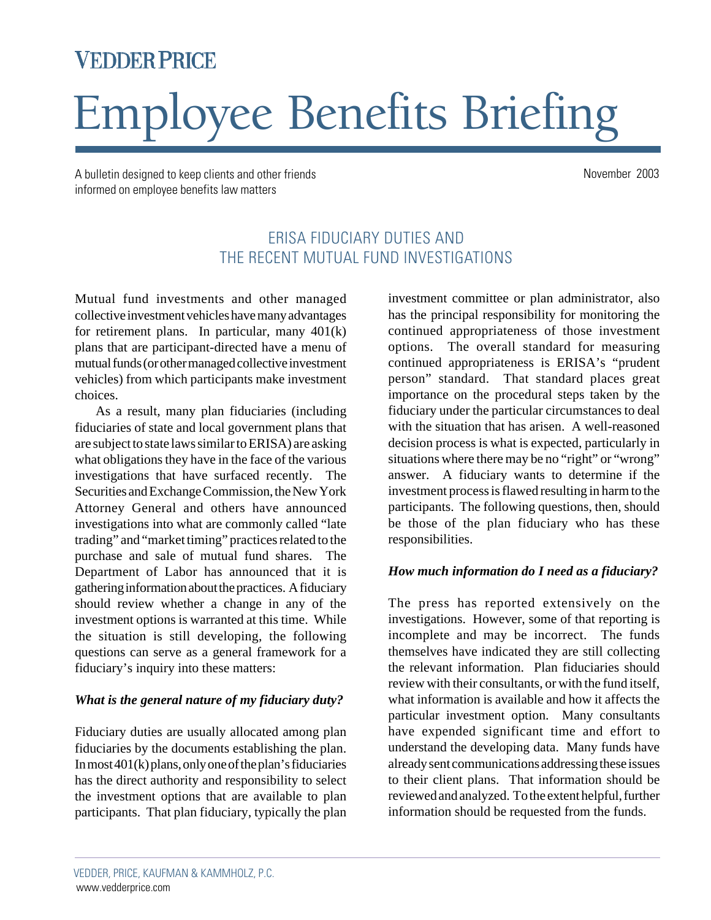# **VEDDER PRICE**

# Employee Benefits Briefing

A bulletin designed to keep clients and other friends November 2003 informed on employee benefits law matters

# ERISA FIDUCIARY DUTIES AND THE RECENT MUTUAL FUND INVESTIGATIONS

Mutual fund investments and other managed collective investment vehicles have many advantages for retirement plans. In particular, many 401(k) plans that are participant-directed have a menu of mutual funds (or other managed collective investment vehicles) from which participants make investment choices.

As a result, many plan fiduciaries (including fiduciaries of state and local government plans that are subject to state laws similar to ERISA) are asking what obligations they have in the face of the various investigations that have surfaced recently. The Securities and Exchange Commission, the New York Attorney General and others have announced investigations into what are commonly called "late trading" and "market timing" practices related to the purchase and sale of mutual fund shares. The Department of Labor has announced that it is gathering information about the practices. A fiduciary should review whether a change in any of the investment options is warranted at this time. While the situation is still developing, the following questions can serve as a general framework for a fiduciary's inquiry into these matters:

#### *What is the general nature of my fiduciary duty?*

Fiduciary duties are usually allocated among plan fiduciaries by the documents establishing the plan. In most 401(k) plans, only one of the plan's fiduciaries has the direct authority and responsibility to select the investment options that are available to plan participants. That plan fiduciary, typically the plan investment committee or plan administrator, also has the principal responsibility for monitoring the continued appropriateness of those investment options. The overall standard for measuring continued appropriateness is ERISA's "prudent person" standard. That standard places great importance on the procedural steps taken by the fiduciary under the particular circumstances to deal with the situation that has arisen. A well-reasoned decision process is what is expected, particularly in situations where there may be no "right" or "wrong" answer. A fiduciary wants to determine if the investment process is flawed resulting in harm to the participants. The following questions, then, should be those of the plan fiduciary who has these responsibilities.

# *How much information do I need as a fiduciary?*

The press has reported extensively on the investigations. However, some of that reporting is incomplete and may be incorrect. The funds themselves have indicated they are still collecting the relevant information. Plan fiduciaries should review with their consultants, or with the fund itself, what information is available and how it affects the particular investment option. Many consultants have expended significant time and effort to understand the developing data. Many funds have already sent communications addressing these issues to their client plans. That information should be reviewed and analyzed. To the extent helpful, further information should be requested from the funds.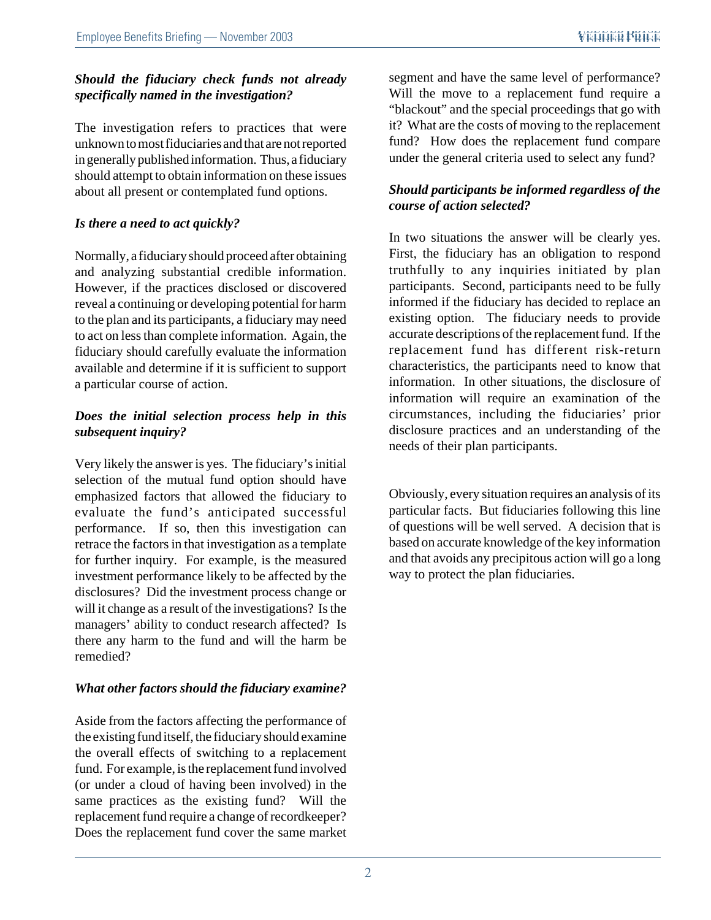## *Should the fiduciary check funds not already specifically named in the investigation?*

The investigation refers to practices that were unknown to most fiduciaries and that are not reported in generally published information. Thus, a fiduciary should attempt to obtain information on these issues about all present or contemplated fund options.

# *Is there a need to act quickly?*

Normally, a fiduciary should proceed after obtaining and analyzing substantial credible information. However, if the practices disclosed or discovered reveal a continuing or developing potential for harm to the plan and its participants, a fiduciary may need to act on less than complete information. Again, the fiduciary should carefully evaluate the information available and determine if it is sufficient to support a particular course of action.

#### *Does the initial selection process help in this subsequent inquiry?*

Very likely the answer is yes. The fiduciary's initial selection of the mutual fund option should have emphasized factors that allowed the fiduciary to evaluate the fund's anticipated successful performance. If so, then this investigation can retrace the factors in that investigation as a template for further inquiry. For example, is the measured investment performance likely to be affected by the disclosures? Did the investment process change or will it change as a result of the investigations? Is the managers' ability to conduct research affected? Is there any harm to the fund and will the harm be remedied?

# *What other factors should the fiduciary examine?*

Aside from the factors affecting the performance of the existing fund itself, the fiduciary should examine the overall effects of switching to a replacement fund. For example, is the replacement fund involved (or under a cloud of having been involved) in the same practices as the existing fund? Will the replacement fund require a change of recordkeeper? Does the replacement fund cover the same market

segment and have the same level of performance? Will the move to a replacement fund require a "blackout" and the special proceedings that go with it? What are the costs of moving to the replacement fund? How does the replacement fund compare under the general criteria used to select any fund?

#### *Should participants be informed regardless of the course of action selected?*

In two situations the answer will be clearly yes. First, the fiduciary has an obligation to respond truthfully to any inquiries initiated by plan participants. Second, participants need to be fully informed if the fiduciary has decided to replace an existing option. The fiduciary needs to provide accurate descriptions of the replacement fund. If the replacement fund has different risk-return characteristics, the participants need to know that information. In other situations, the disclosure of information will require an examination of the circumstances, including the fiduciaries' prior disclosure practices and an understanding of the needs of their plan participants.

Obviously, every situation requires an analysis of its particular facts. But fiduciaries following this line of questions will be well served. A decision that is based on accurate knowledge of the key information and that avoids any precipitous action will go a long way to protect the plan fiduciaries.